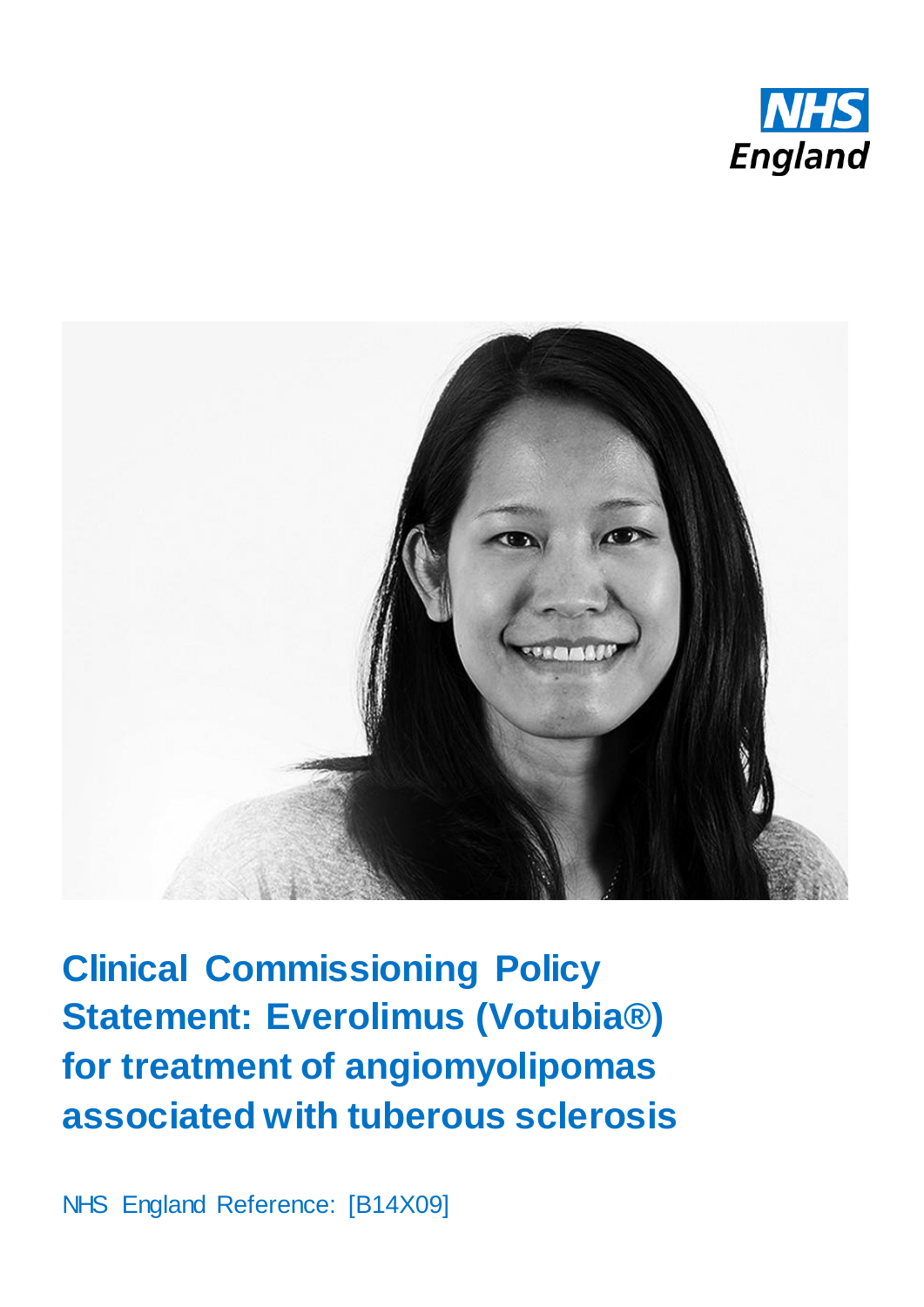



**Clinical Commissioning Policy Statement: Everolimus (Votubia®) for treatment of angiomyolipomas associated with tuberous sclerosis**

NHS England Reference: [B14X09]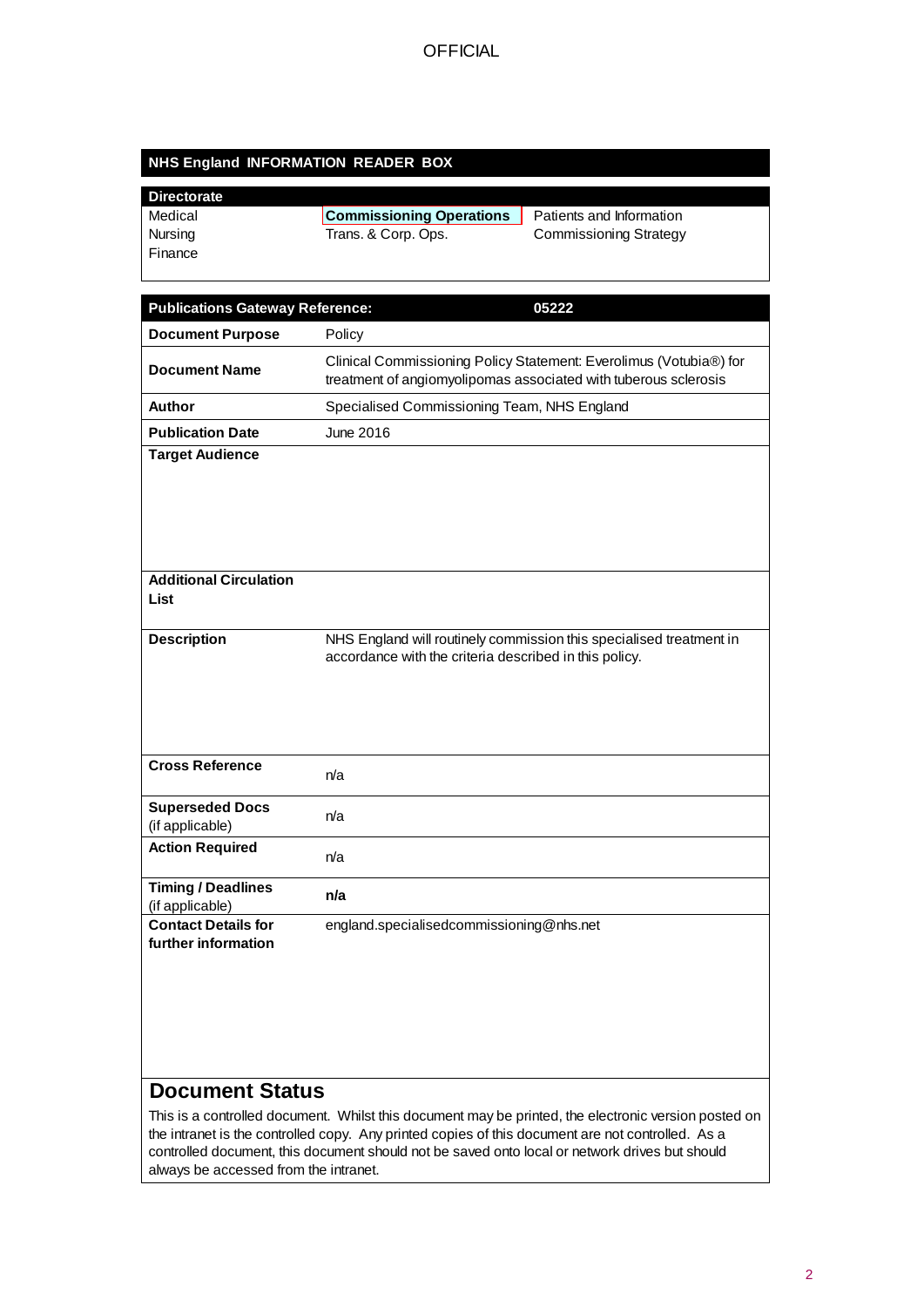### **NHS England INFORMATION READER BOX**

#### **Directorate**

| Medical | <b>Commissioning Operations</b> | Patients and Information      |
|---------|---------------------------------|-------------------------------|
| Nursing | Trans. & Corp. Ops.             | <b>Commissioning Strategy</b> |
| Finance |                                 |                               |

| <b>Publications Gateway Reference:</b>                                                                                         | 05222                                                                                                                                 |  |
|--------------------------------------------------------------------------------------------------------------------------------|---------------------------------------------------------------------------------------------------------------------------------------|--|
| <b>Document Purpose</b>                                                                                                        | Policy                                                                                                                                |  |
| <b>Document Name</b>                                                                                                           | Clinical Commissioning Policy Statement: Everolimus (Votubia®) for<br>treatment of angiomyolipomas associated with tuberous sclerosis |  |
| Author                                                                                                                         | Specialised Commissioning Team, NHS England                                                                                           |  |
| <b>Publication Date</b>                                                                                                        | June 2016                                                                                                                             |  |
| <b>Target Audience</b>                                                                                                         |                                                                                                                                       |  |
|                                                                                                                                |                                                                                                                                       |  |
|                                                                                                                                |                                                                                                                                       |  |
| <b>Additional Circulation</b>                                                                                                  |                                                                                                                                       |  |
| List                                                                                                                           |                                                                                                                                       |  |
| <b>Description</b>                                                                                                             | NHS England will routinely commission this specialised treatment in<br>accordance with the criteria described in this policy.         |  |
|                                                                                                                                |                                                                                                                                       |  |
|                                                                                                                                |                                                                                                                                       |  |
|                                                                                                                                |                                                                                                                                       |  |
| <b>Cross Reference</b>                                                                                                         | n/a                                                                                                                                   |  |
| <b>Superseded Docs</b><br>(if applicable)                                                                                      | n/a                                                                                                                                   |  |
| <b>Action Required</b>                                                                                                         | n/a                                                                                                                                   |  |
| <b>Timing / Deadlines</b><br>(if applicable)                                                                                   | n/a                                                                                                                                   |  |
| <b>Contact Details for</b><br>further information                                                                              | england.specialisedcommissioning@nhs.net                                                                                              |  |
|                                                                                                                                |                                                                                                                                       |  |
|                                                                                                                                |                                                                                                                                       |  |
|                                                                                                                                |                                                                                                                                       |  |
|                                                                                                                                |                                                                                                                                       |  |
|                                                                                                                                |                                                                                                                                       |  |
| <b>Document Status</b><br>This is a controlled decument. Whilet this decument may be printed, the electronic version posted on |                                                                                                                                       |  |

This is a controlled document. Whilst this document may be printed, the electronic version posted on the intranet is the controlled copy. Any printed copies of this document are not controlled. As a controlled document, this document should not be saved onto local or network drives but should always be accessed from the intranet.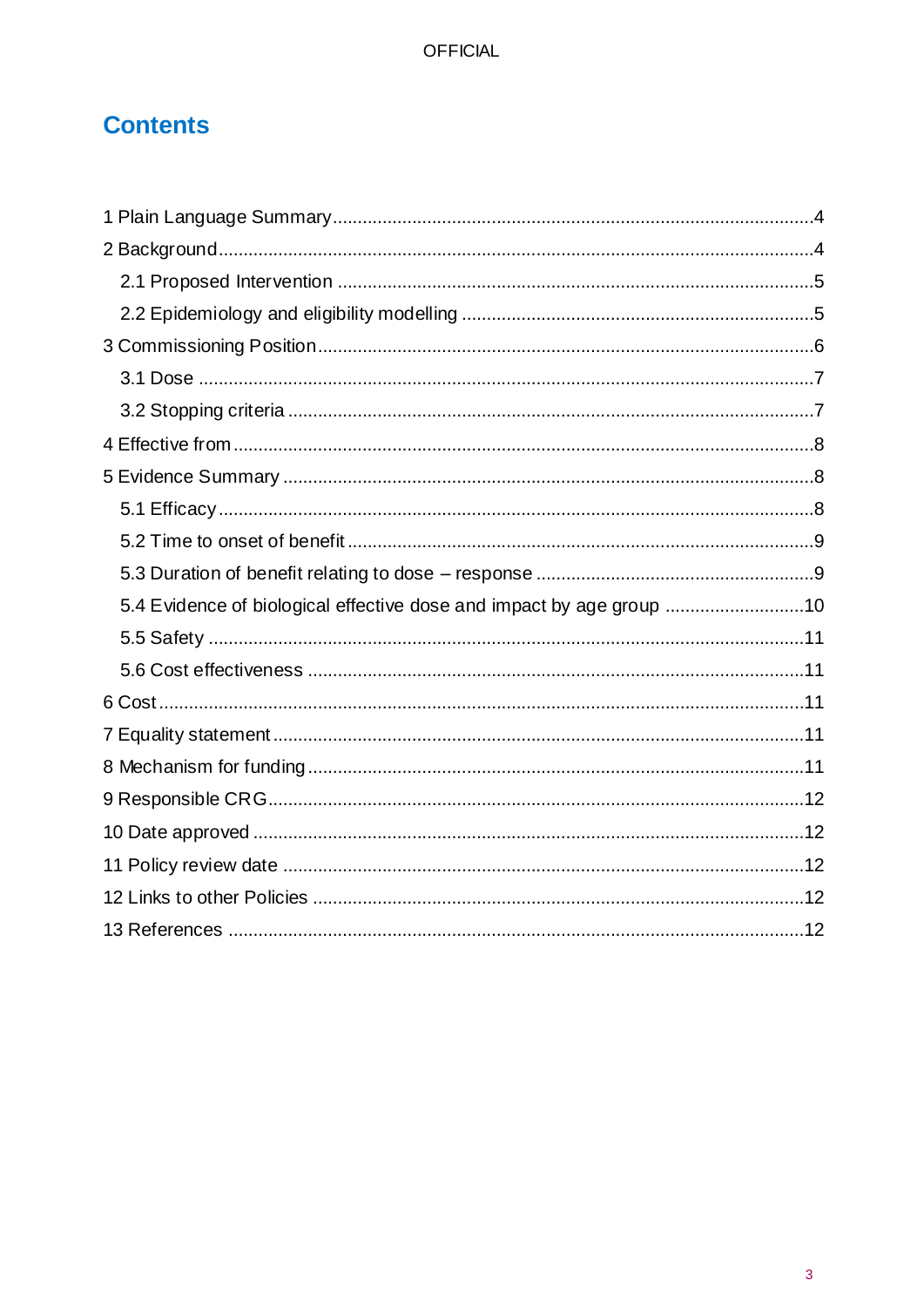# **Contents**

| 5.4 Evidence of biological effective dose and impact by age group 10 |
|----------------------------------------------------------------------|
|                                                                      |
|                                                                      |
|                                                                      |
|                                                                      |
|                                                                      |
|                                                                      |
|                                                                      |
|                                                                      |
|                                                                      |
|                                                                      |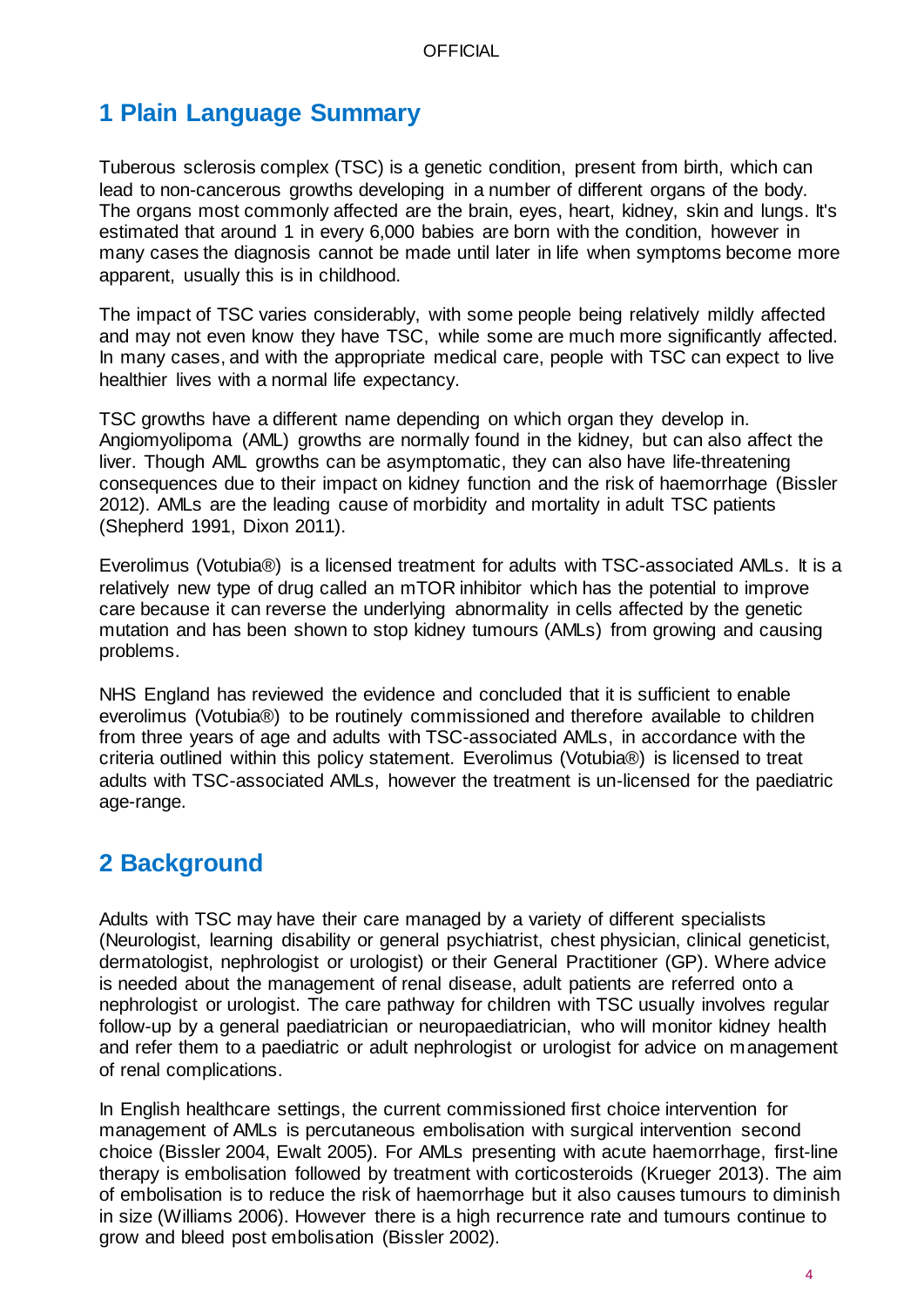# <span id="page-3-0"></span>**1 Plain Language Summary**

Tuberous sclerosis complex (TSC) is a genetic condition, present from birth, which can lead to non-cancerous growths developing in a number of different organs of the body. The organs most commonly affected are the brain, eyes, heart, kidney, skin and lungs. It's estimated that around 1 in every 6,000 babies are born with the condition, however in many cases the diagnosis cannot be made until later in life when symptoms become more apparent, usually this is in childhood.

The impact of TSC varies considerably, with some people being relatively mildly affected and may not even know they have TSC, while some are much more significantly affected. In many cases, and with the appropriate medical care, people with TSC can expect to live healthier lives with a normal life expectancy.

TSC growths have a different name depending on which organ they develop in. Angiomyolipoma (AML) growths are normally found in the kidney, but can also affect the liver. Though AML growths can be asymptomatic, they can also have life-threatening consequences due to their impact on kidney function and the risk of haemorrhage (Bissler 2012). AMLs are the leading cause of morbidity and mortality in adult TSC patients (Shepherd 1991, Dixon 2011).

Everolimus (Votubia®) is a licensed treatment for adults with TSC-associated AMLs. It is a relatively new type of drug called an mTOR inhibitor which has the potential to improve care because it can reverse the underlying abnormality in cells affected by the genetic mutation and has been shown to stop kidney tumours (AMLs) from growing and causing problems.

NHS England has reviewed the evidence and concluded that it is sufficient to enable everolimus (Votubia®) to be routinely commissioned and therefore available to children from three years of age and adults with TSC-associated AMLs, in accordance with the criteria outlined within this policy statement. Everolimus (Votubia®) is licensed to treat adults with TSC-associated AMLs, however the treatment is un-licensed for the paediatric age-range.

## <span id="page-3-1"></span>**2 Background**

Adults with TSC may have their care managed by a variety of different specialists (Neurologist, learning disability or general psychiatrist, chest physician, clinical geneticist, dermatologist, nephrologist or urologist) or their General Practitioner (GP). Where advice is needed about the management of renal disease, adult patients are referred onto a nephrologist or urologist. The care pathway for children with TSC usually involves regular follow-up by a general paediatrician or neuropaediatrician, who will monitor kidney health and refer them to a paediatric or adult nephrologist or urologist for advice on management of renal complications.

In English healthcare settings, the current commissioned first choice intervention for management of AMLs is percutaneous embolisation with surgical intervention second choice (Bissler 2004, Ewalt 2005). For AMLs presenting with acute haemorrhage, first-line therapy is embolisation followed by treatment with corticosteroids (Krueger 2013). The aim of embolisation is to reduce the risk of haemorrhage but it also causes tumours to diminish in size (Williams 2006). However there is a high recurrence rate and tumours continue to grow and bleed post embolisation (Bissler 2002).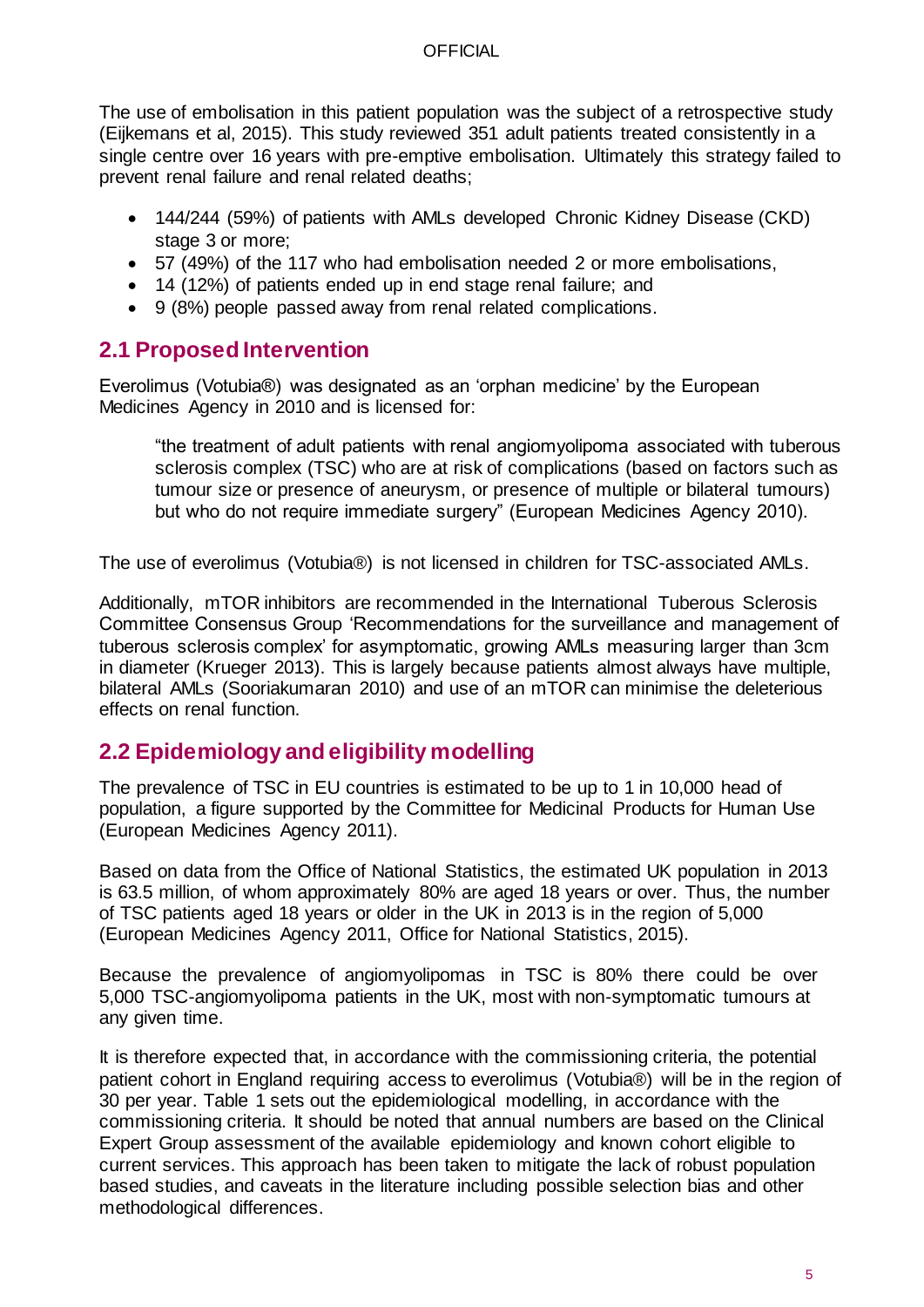The use of embolisation in this patient population was the subject of a retrospective study (Eijkemans et al, 2015). This study reviewed 351 adult patients treated consistently in a single centre over 16 years with pre-emptive embolisation. Ultimately this strategy failed to prevent renal failure and renal related deaths;

- 144/244 (59%) of patients with AMLs developed Chronic Kidney Disease (CKD) stage 3 or more;
- 57 (49%) of the 117 who had embolisation needed 2 or more embolisations,
- 14 (12%) of patients ended up in end stage renal failure; and
- 9 (8%) people passed away from renal related complications.

### <span id="page-4-0"></span>**2.1 Proposed Intervention**

Everolimus (Votubia®) was designated as an 'orphan medicine' by the European Medicines Agency in 2010 and is licensed for:

"the treatment of adult patients with renal angiomyolipoma associated with tuberous sclerosis complex (TSC) who are at risk of complications (based on factors such as tumour size or presence of aneurysm, or presence of multiple or bilateral tumours) but who do not require immediate surgery" (European Medicines Agency 2010).

The use of everolimus (Votubia®) is not licensed in children for TSC-associated AMLs.

Additionally, mTOR inhibitors are recommended in the International Tuberous Sclerosis Committee Consensus Group 'Recommendations for the surveillance and management of tuberous sclerosis complex' for asymptomatic, growing AMLs measuring larger than 3cm in diameter (Krueger 2013). This is largely because patients almost always have multiple, bilateral AMLs (Sooriakumaran 2010) and use of an mTOR can minimise the deleterious effects on renal function.

### <span id="page-4-1"></span>**2.2 Epidemiology and eligibility modelling**

The prevalence of TSC in EU countries is estimated to be up to 1 in 10,000 head of population, a figure supported by the Committee for Medicinal Products for Human Use (European Medicines Agency 2011).

Based on data from the Office of National Statistics, the estimated UK population in 2013 is 63.5 million, of whom approximately 80% are aged 18 years or over. Thus, the number of TSC patients aged 18 years or older in the UK in 2013 is in the region of 5,000 (European Medicines Agency 2011, Office for National Statistics, 2015).

Because the prevalence of angiomyolipomas in TSC is 80% there could be over 5,000 TSC-angiomyolipoma patients in the UK, most with non-symptomatic tumours at any given time.

It is therefore expected that, in accordance with the commissioning criteria, the potential patient cohort in England requiring access to everolimus (Votubia®) will be in the region of 30 per year. Table 1 sets out the epidemiological modelling, in accordance with the commissioning criteria. It should be noted that annual numbers are based on the Clinical Expert Group assessment of the available epidemiology and known cohort eligible to current services. This approach has been taken to mitigate the lack of robust population based studies, and caveats in the literature including possible selection bias and other methodological differences.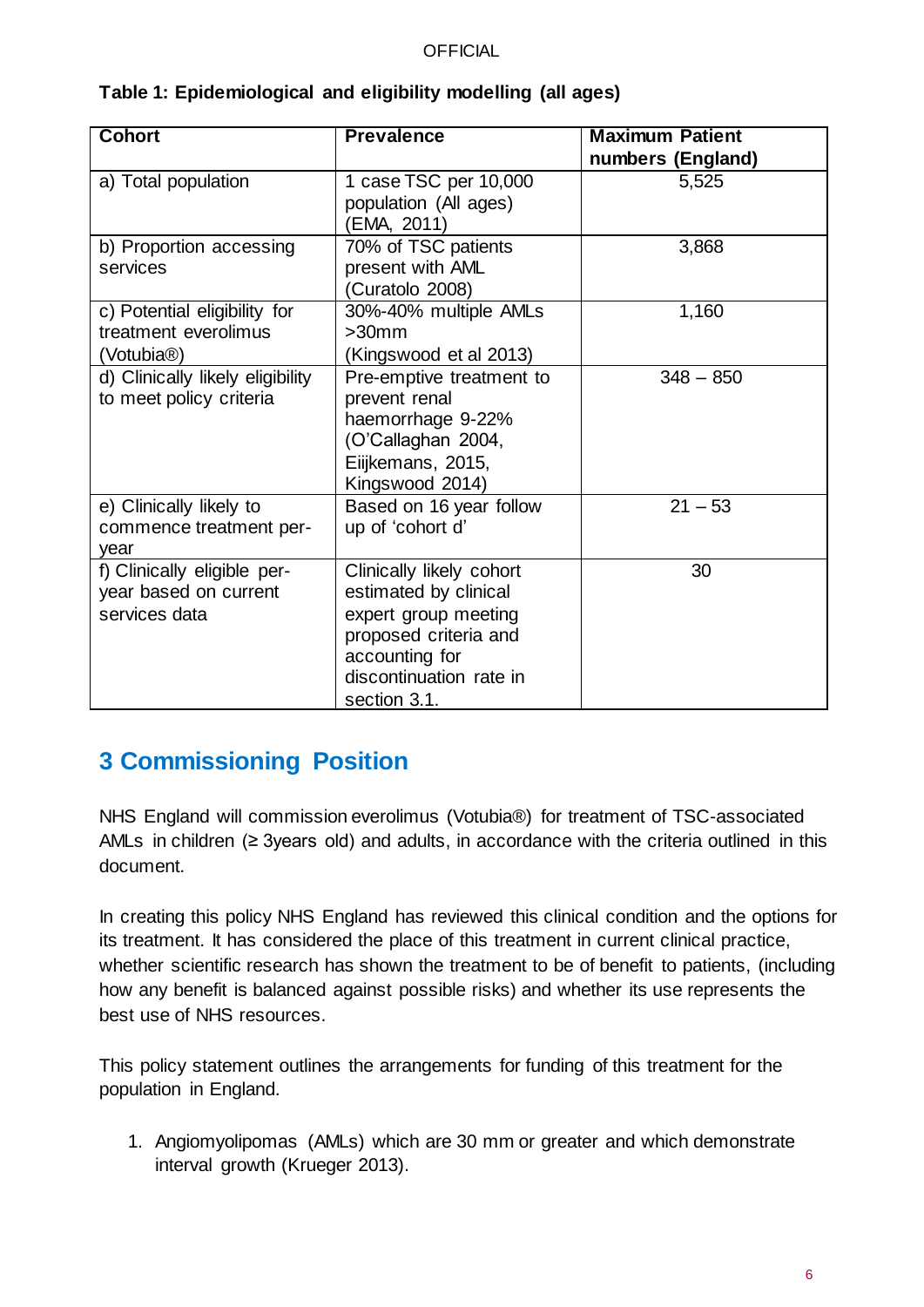| <b>Cohort</b>                                                                   | <b>Prevalence</b>                                                                                                                                               | <b>Maximum Patient</b><br>numbers (England) |
|---------------------------------------------------------------------------------|-----------------------------------------------------------------------------------------------------------------------------------------------------------------|---------------------------------------------|
| a) Total population                                                             | 1 case TSC per 10,000<br>population (All ages)<br>(EMA, 2011)                                                                                                   | 5,525                                       |
| b) Proportion accessing<br>services                                             | 70% of TSC patients<br>present with AML<br>(Curatolo 2008)                                                                                                      | 3,868                                       |
| c) Potential eligibility for<br>treatment everolimus<br>(Votubia <sup>®</sup> ) | 30%-40% multiple AMLs<br>$>30$ mm<br>(Kingswood et al 2013)                                                                                                     | 1,160                                       |
| d) Clinically likely eligibility<br>to meet policy criteria                     | Pre-emptive treatment to<br>prevent renal<br>haemorrhage 9-22%<br>(O'Callaghan 2004,<br>Eiijkemans, 2015,<br>Kingswood 2014)                                    | $348 - 850$                                 |
| e) Clinically likely to<br>commence treatment per-<br>year                      | Based on 16 year follow<br>up of 'cohort d'                                                                                                                     | $21 - 53$                                   |
| f) Clinically eligible per-<br>year based on current<br>services data           | Clinically likely cohort<br>estimated by clinical<br>expert group meeting<br>proposed criteria and<br>accounting for<br>discontinuation rate in<br>section 3.1. | 30                                          |

### **Table 1: Epidemiological and eligibility modelling (all ages)**

## <span id="page-5-0"></span>**3 Commissioning Position**

NHS England will commission everolimus (Votubia®) for treatment of TSC-associated AMLs in children ( $\geq$  3years old) and adults, in accordance with the criteria outlined in this document.

In creating this policy NHS England has reviewed this clinical condition and the options for its treatment. It has considered the place of this treatment in current clinical practice, whether scientific research has shown the treatment to be of benefit to patients, (including how any benefit is balanced against possible risks) and whether its use represents the best use of NHS resources.

This policy statement outlines the arrangements for funding of this treatment for the population in England.

1. Angiomyolipomas (AMLs) which are 30 mm or greater and which demonstrate interval growth (Krueger 2013).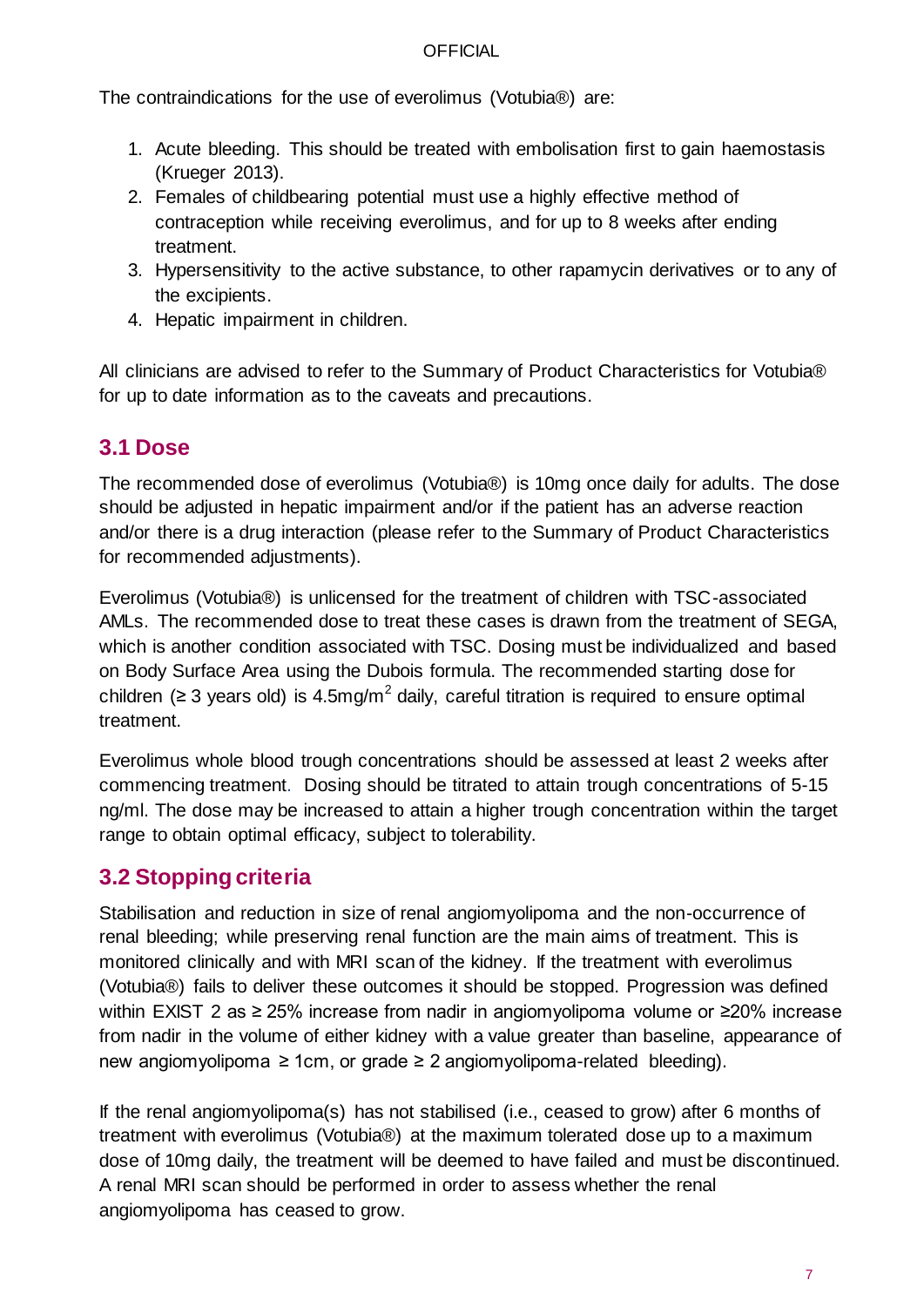The contraindications for the use of everolimus (Votubia®) are:

- 1. Acute bleeding. This should be treated with embolisation first to gain haemostasis (Krueger 2013).
- 2. Females of childbearing potential must use a highly effective method of contraception while receiving everolimus, and for up to 8 weeks after ending treatment.
- 3. Hypersensitivity to the active substance, to other rapamycin derivatives or to any of the excipients.
- 4. Hepatic impairment in children.

All clinicians are advised to refer to the Summary of Product Characteristics for Votubia® for up to date information as to the caveats and precautions.

### <span id="page-6-0"></span>**3.1 Dose**

The recommended dose of everolimus (Votubia®) is 10mg once daily for adults. The dose should be adjusted in hepatic impairment and/or if the patient has an adverse reaction and/or there is a drug interaction (please refer to the Summary of Product Characteristics for recommended adjustments).

Everolimus (Votubia®) is unlicensed for the treatment of children with TSC-associated AMLs. The recommended dose to treat these cases is drawn from the treatment of SEGA, which is another condition associated with TSC. Dosing must be individualized and based on Body Surface Area using the Dubois formula. The recommended starting dose for children ( $\geq$  3 years old) is 4.5mg/m<sup>2</sup> daily, careful titration is required to ensure optimal treatment.

Everolimus whole blood trough concentrations should be assessed at least 2 weeks after commencing treatment. Dosing should be titrated to attain trough concentrations of 5-15 ng/ml. The dose may be increased to attain a higher trough concentration within the target range to obtain optimal efficacy, subject to tolerability.

### <span id="page-6-1"></span>**3.2 Stopping criteria**

Stabilisation and reduction in size of renal angiomyolipoma and the non-occurrence of renal bleeding; while preserving renal function are the main aims of treatment. This is monitored clinically and with MRI scan of the kidney. If the treatment with everolimus (Votubia®) fails to deliver these outcomes it should be stopped. Progression was defined within EXIST 2 as ≥ 25% increase from nadir in angiomyolipoma volume or ≥20% increase from nadir in the volume of either kidney with a value greater than baseline, appearance of new angiomyolipoma ≥ 1cm, or grade ≥ 2 angiomyolipoma-related bleeding).

If the renal angiomyolipoma(s) has not stabilised (i.e., ceased to grow) after 6 months of treatment with everolimus (Votubia®) at the maximum tolerated dose up to a maximum dose of 10mg daily, the treatment will be deemed to have failed and must be discontinued. A renal MRI scan should be performed in order to assess whether the renal angiomyolipoma has ceased to grow.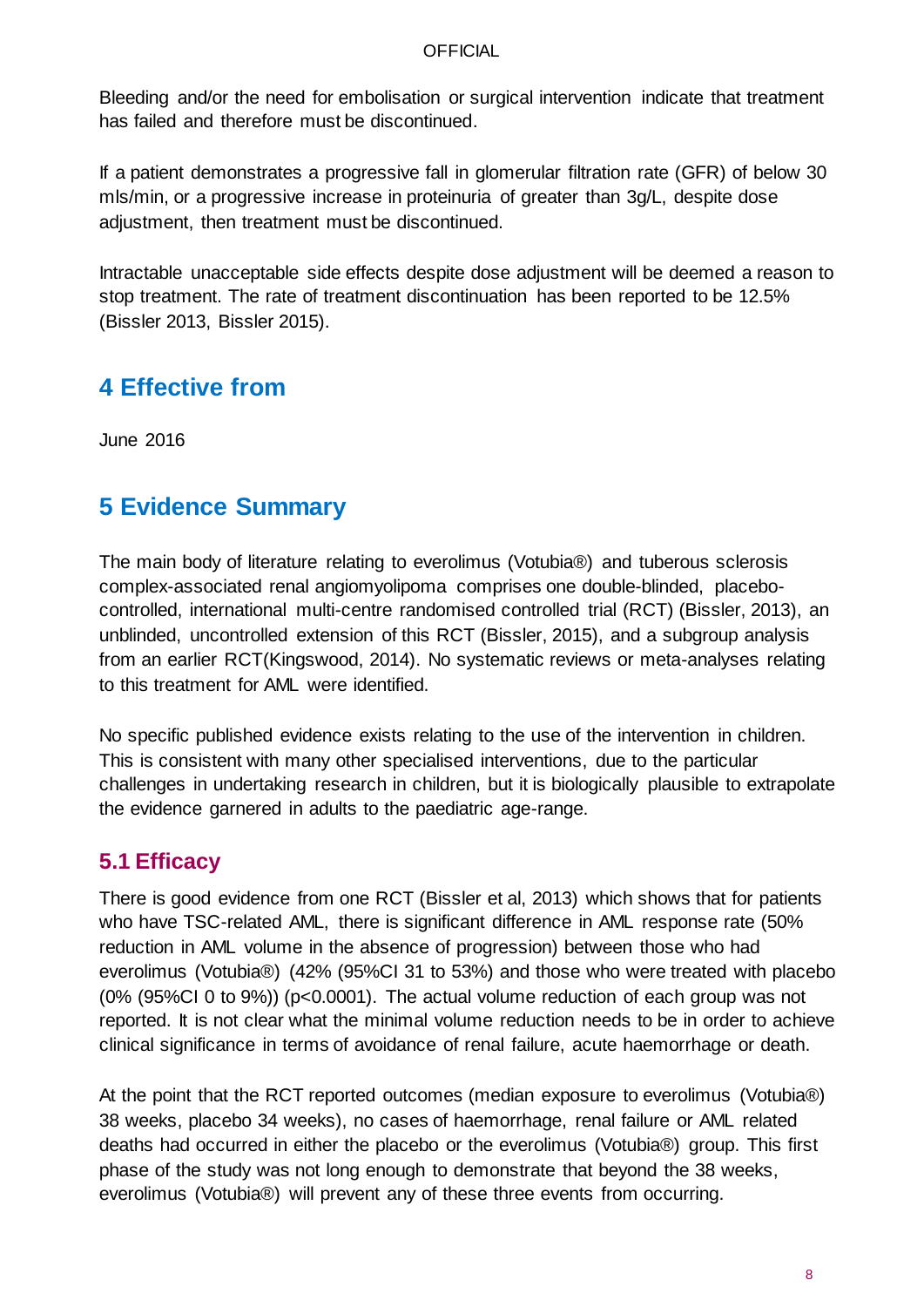Bleeding and/or the need for embolisation or surgical intervention indicate that treatment has failed and therefore must be discontinued.

If a patient demonstrates a progressive fall in glomerular filtration rate (GFR) of below 30 mls/min, or a progressive increase in proteinuria of greater than 3g/L, despite dose adjustment, then treatment must be discontinued.

Intractable unacceptable side effects despite dose adjustment will be deemed a reason to stop treatment. The rate of treatment discontinuation has been reported to be 12.5% (Bissler 2013, Bissler 2015).

## <span id="page-7-0"></span>**4 Effective from**

<span id="page-7-1"></span>June 2016

# **5 Evidence Summary**

The main body of literature relating to everolimus (Votubia®) and tuberous sclerosis complex-associated renal angiomyolipoma comprises one double-blinded, placebocontrolled, international multi-centre randomised controlled trial (RCT) (Bissler, 2013), an unblinded, uncontrolled extension of this RCT (Bissler, 2015), and a subgroup analysis from an earlier RCT(Kingswood, 2014). No systematic reviews or meta-analyses relating to this treatment for AML were identified.

No specific published evidence exists relating to the use of the intervention in children. This is consistent with many other specialised interventions, due to the particular challenges in undertaking research in children, but it is biologically plausible to extrapolate the evidence garnered in adults to the paediatric age-range.

### <span id="page-7-2"></span>**5.1 Efficacy**

There is good evidence from one RCT (Bissler et al, 2013) which shows that for patients who have TSC-related AML, there is significant difference in AML response rate (50% reduction in AML volume in the absence of progression) between those who had everolimus (Votubia®) (42% (95%CI 31 to 53%) and those who were treated with placebo (0% (95%CI 0 to 9%)) (p<0.0001). The actual volume reduction of each group was not reported. It is not clear what the minimal volume reduction needs to be in order to achieve clinical significance in terms of avoidance of renal failure, acute haemorrhage or death.

At the point that the RCT reported outcomes (median exposure to everolimus (Votubia®) 38 weeks, placebo 34 weeks), no cases of haemorrhage, renal failure or AML related deaths had occurred in either the placebo or the everolimus (Votubia®) group. This first phase of the study was not long enough to demonstrate that beyond the 38 weeks, everolimus (Votubia®) will prevent any of these three events from occurring.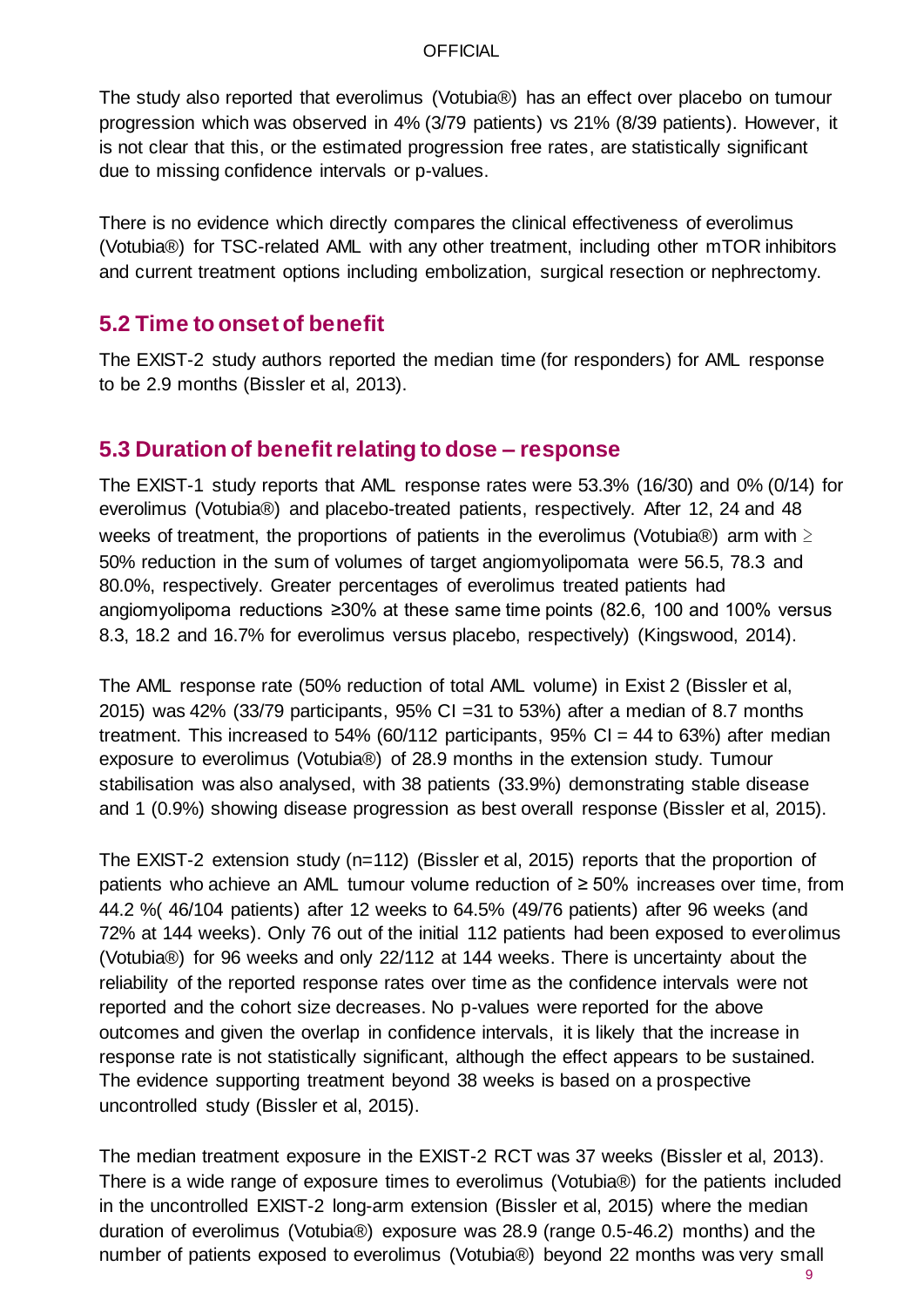The study also reported that everolimus (Votubia®) has an effect over placebo on tumour progression which was observed in 4% (3/79 patients) vs 21% (8/39 patients). However, it is not clear that this, or the estimated progression free rates, are statistically significant due to missing confidence intervals or p-values.

There is no evidence which directly compares the clinical effectiveness of everolimus (Votubia®) for TSC-related AML with any other treatment, including other mTOR inhibitors and current treatment options including embolization, surgical resection or nephrectomy.

### <span id="page-8-0"></span>**5.2 Time to onset of benefit**

The EXIST-2 study authors reported the median time (for responders) for AML response to be 2.9 months (Bissler et al, 2013).

### <span id="page-8-1"></span>**5.3 Duration of benefit relating to dose – response**

The EXIST-1 study reports that AML response rates were 53.3% (16/30) and 0% (0/14) for everolimus (Votubia®) and placebo-treated patients, respectively. After 12, 24 and 48 weeks of treatment, the proportions of patients in the everolimus (Votubia®) arm with  $\geq$ 50% reduction in the sum of volumes of target angiomyolipomata were 56.5, 78.3 and 80.0%, respectively. Greater percentages of everolimus treated patients had angiomyolipoma reductions ≥30% at these same time points (82.6, 100 and 100% versus 8.3, 18.2 and 16.7% for everolimus versus placebo, respectively) (Kingswood, 2014).

The AML response rate (50% reduction of total AML volume) in Exist 2 (Bissler et al, 2015) was 42% (33/79 participants, 95% CI =31 to 53%) after a median of 8.7 months treatment. This increased to 54% (60/112 participants, 95% CI = 44 to 63%) after median exposure to everolimus (Votubia®) of 28.9 months in the extension study. Tumour stabilisation was also analysed, with 38 patients (33.9%) demonstrating stable disease and 1 (0.9%) showing disease progression as best overall response (Bissler et al, 2015).

The EXIST-2 extension study (n=112) (Bissler et al, 2015) reports that the proportion of patients who achieve an AML tumour volume reduction of ≥ 50% increases over time, from 44.2 %( 46/104 patients) after 12 weeks to 64.5% (49/76 patients) after 96 weeks (and 72% at 144 weeks). Only 76 out of the initial 112 patients had been exposed to everolimus (Votubia®) for 96 weeks and only 22/112 at 144 weeks. There is uncertainty about the reliability of the reported response rates over time as the confidence intervals were not reported and the cohort size decreases. No p-values were reported for the above outcomes and given the overlap in confidence intervals, it is likely that the increase in response rate is not statistically significant, although the effect appears to be sustained. The evidence supporting treatment beyond 38 weeks is based on a prospective uncontrolled study (Bissler et al, 2015).

The median treatment exposure in the EXIST-2 RCT was 37 weeks (Bissler et al, 2013). There is a wide range of exposure times to everolimus (Votubia®) for the patients included in the uncontrolled EXIST-2 long-arm extension (Bissler et al, 2015) where the median duration of everolimus (Votubia®) exposure was 28.9 (range 0.5-46.2) months) and the number of patients exposed to everolimus (Votubia®) beyond 22 months was very small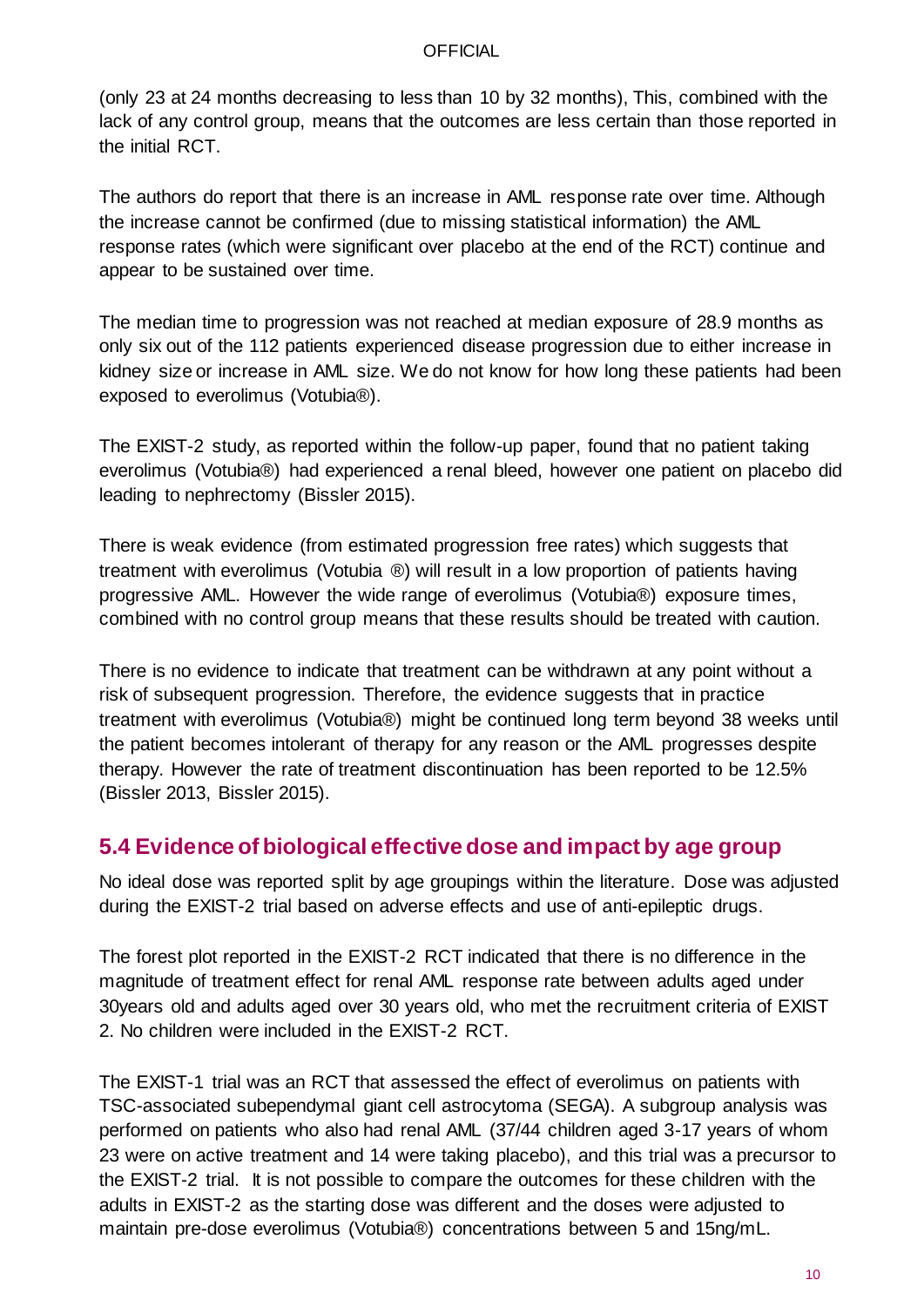(only 23 at 24 months decreasing to less than 10 by 32 months), This, combined with the lack of any control group, means that the outcomes are less certain than those reported in the initial RCT.

The authors do report that there is an increase in AML response rate over time. Although the increase cannot be confirmed (due to missing statistical information) the AML response rates (which were significant over placebo at the end of the RCT) continue and appear to be sustained over time.

The median time to progression was not reached at median exposure of 28.9 months as only six out of the 112 patients experienced disease progression due to either increase in kidney size or increase in AML size. We do not know for how long these patients had been exposed to everolimus (Votubia®).

The EXIST-2 study, as reported within the follow-up paper, found that no patient taking everolimus (Votubia®) had experienced a renal bleed, however one patient on placebo did leading to nephrectomy (Bissler 2015).

There is weak evidence (from estimated progression free rates) which suggests that treatment with everolimus (Votubia ®) will result in a low proportion of patients having progressive AML. However the wide range of everolimus (Votubia®) exposure times, combined with no control group means that these results should be treated with caution.

There is no evidence to indicate that treatment can be withdrawn at any point without a risk of subsequent progression. Therefore, the evidence suggests that in practice treatment with everolimus (Votubia®) might be continued long term beyond 38 weeks until the patient becomes intolerant of therapy for any reason or the AML progresses despite therapy. However the rate of treatment discontinuation has been reported to be 12.5% (Bissler 2013, Bissler 2015).

### <span id="page-9-0"></span>**5.4 Evidence of biological effective dose and impact by age group**

No ideal dose was reported split by age groupings within the literature. Dose was adjusted during the EXIST-2 trial based on adverse effects and use of anti-epileptic drugs.

The forest plot reported in the EXIST-2 RCT indicated that there is no difference in the magnitude of treatment effect for renal AML response rate between adults aged under 30years old and adults aged over 30 years old, who met the recruitment criteria of EXIST 2. No children were included in the EXIST-2 RCT.

The EXIST-1 trial was an RCT that assessed the effect of everolimus on patients with TSC-associated subependymal giant cell astrocytoma (SEGA). A subgroup analysis was performed on patients who also had renal AML (37/44 children aged 3-17 years of whom 23 were on active treatment and 14 were taking placebo), and this trial was a precursor to the EXIST-2 trial. It is not possible to compare the outcomes for these children with the adults in EXIST-2 as the starting dose was different and the doses were adjusted to maintain pre-dose everolimus (Votubia®) concentrations between 5 and 15ng/mL.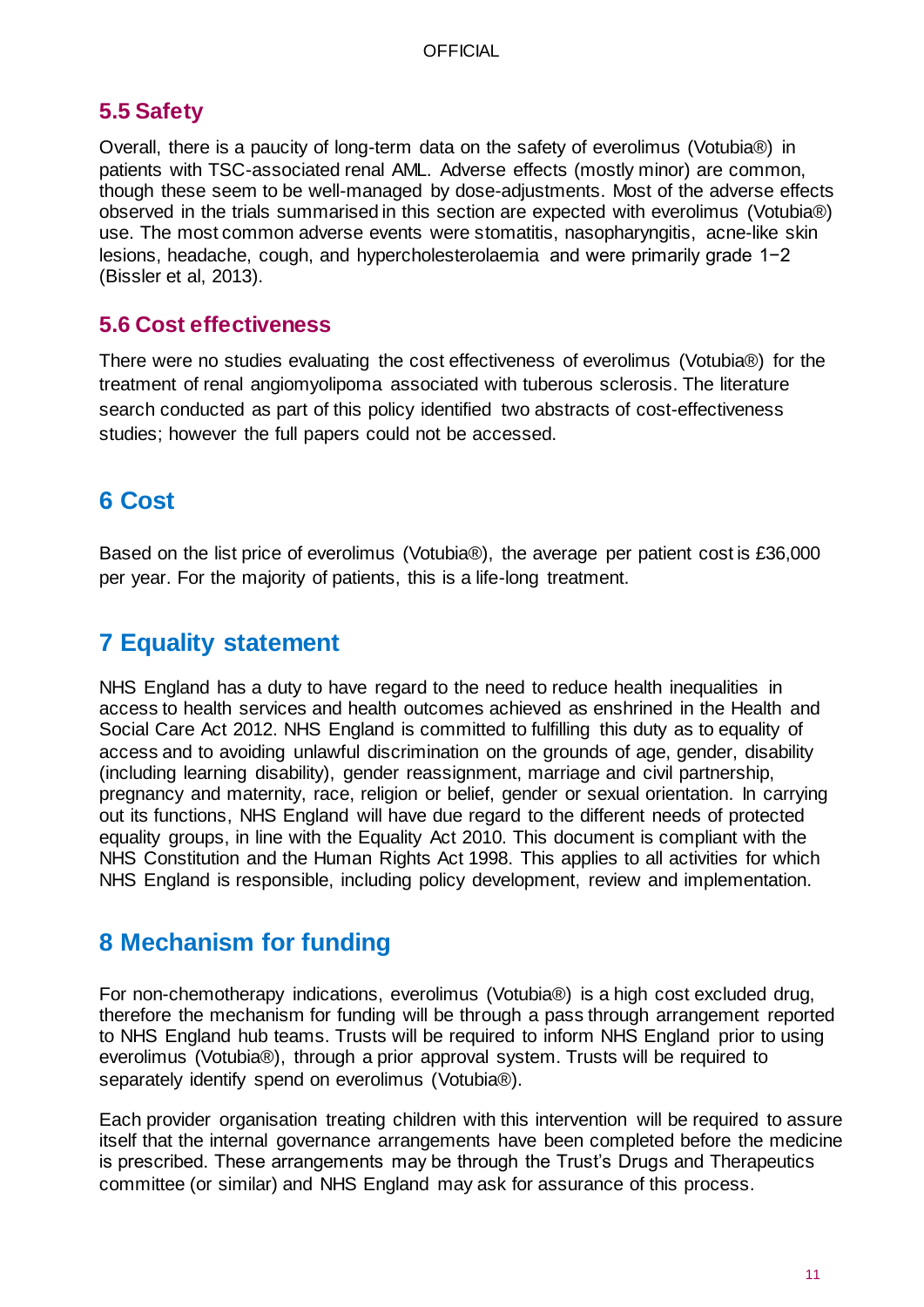### <span id="page-10-0"></span>**5.5 Safety**

Overall, there is a paucity of long-term data on the safety of everolimus (Votubia®) in patients with TSC-associated renal AML. Adverse effects (mostly minor) are common, though these seem to be well-managed by dose-adjustments. Most of the adverse effects observed in the trials summarised in this section are expected with everolimus (Votubia®) use. The most common adverse events were stomatitis, nasopharyngitis, acne-like skin lesions, headache, cough, and hypercholesterolaemia and were primarily grade 1−2 (Bissler et al, 2013).

### <span id="page-10-1"></span>**5.6 Cost effectiveness**

There were no studies evaluating the cost effectiveness of everolimus (Votubia®) for the treatment of renal angiomyolipoma associated with tuberous sclerosis. The literature search conducted as part of this policy identified two abstracts of cost-effectiveness studies; however the full papers could not be accessed.

## <span id="page-10-2"></span>**6 Cost**

<span id="page-10-3"></span>Based on the list price of everolimus (Votubia®), the average per patient cost is £36,000 per year. For the majority of patients, this is a life-long treatment.

## **7 Equality statement**

NHS England has a duty to have regard to the need to reduce health inequalities in access to health services and health outcomes achieved as enshrined in the Health and Social Care Act 2012. NHS England is committed to fulfilling this duty as to equality of access and to avoiding unlawful discrimination on the grounds of age, gender, disability (including learning disability), gender reassignment, marriage and civil partnership, pregnancy and maternity, race, religion or belief, gender or sexual orientation. In carrying out its functions, NHS England will have due regard to the different needs of protected equality groups, in line with the Equality Act 2010. This document is compliant with the NHS Constitution and the Human Rights Act 1998. This applies to all activities for which NHS England is responsible, including policy development, review and implementation.

## <span id="page-10-4"></span>**8 Mechanism for funding**

For non-chemotherapy indications, everolimus (Votubia®) is a high cost excluded drug, therefore the mechanism for funding will be through a pass through arrangement reported to NHS England hub teams. Trusts will be required to inform NHS England prior to using everolimus (Votubia®), through a prior approval system. Trusts will be required to separately identify spend on everolimus (Votubia®).

<span id="page-10-5"></span>Each provider organisation treating children with this intervention will be required to assure itself that the internal governance arrangements have been completed before the medicine is prescribed. These arrangements may be through the Trust's Drugs and Therapeutics committee (or similar) and NHS England may ask for assurance of this process.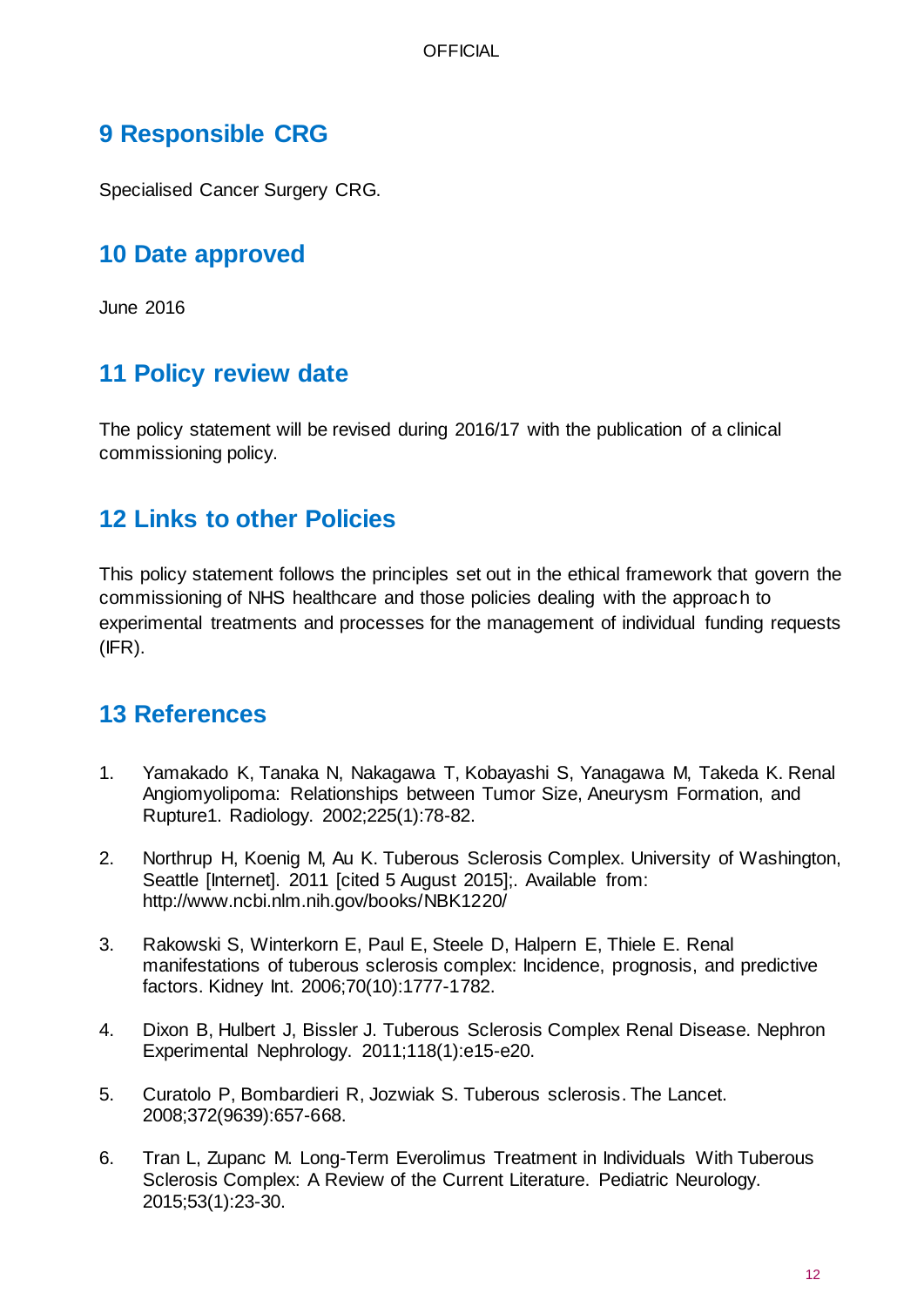## **9 Responsible CRG**

<span id="page-11-0"></span>Specialised Cancer Surgery CRG.

## **10 Date approved**

<span id="page-11-1"></span>June 2016

# **11 Policy review date**

The policy statement will be revised during 2016/17 with the publication of a clinical commissioning policy.

## <span id="page-11-2"></span>**12 Links to other Policies**

This policy statement follows the principles set out in the ethical framework that govern the commissioning of NHS healthcare and those policies dealing with the approach to experimental treatments and processes for the management of individual funding requests (IFR).

## <span id="page-11-3"></span>**13 References**

- 1. Yamakado K, Tanaka N, Nakagawa T, Kobayashi S, Yanagawa M, Takeda K. Renal Angiomyolipoma: Relationships between Tumor Size, Aneurysm Formation, and Rupture1. Radiology. 2002;225(1):78-82.
- 2. Northrup H, Koenig M, Au K. Tuberous Sclerosis Complex. University of Washington, Seattle [Internet]. 2011 [cited 5 August 2015];. Available from: http://www.ncbi.nlm.nih.gov/books/NBK1220/
- 3. Rakowski S, Winterkorn E, Paul E, Steele D, Halpern E, Thiele E. Renal manifestations of tuberous sclerosis complex: Incidence, prognosis, and predictive factors. Kidney Int. 2006;70(10):1777-1782.
- 4. Dixon B, Hulbert J, Bissler J. Tuberous Sclerosis Complex Renal Disease. Nephron Experimental Nephrology. 2011;118(1):e15-e20.
- 5. Curatolo P, Bombardieri R, Jozwiak S. Tuberous sclerosis. The Lancet. 2008;372(9639):657-668.
- 6. Tran L, Zupanc M. Long-Term Everolimus Treatment in Individuals With Tuberous Sclerosis Complex: A Review of the Current Literature. Pediatric Neurology. 2015;53(1):23-30.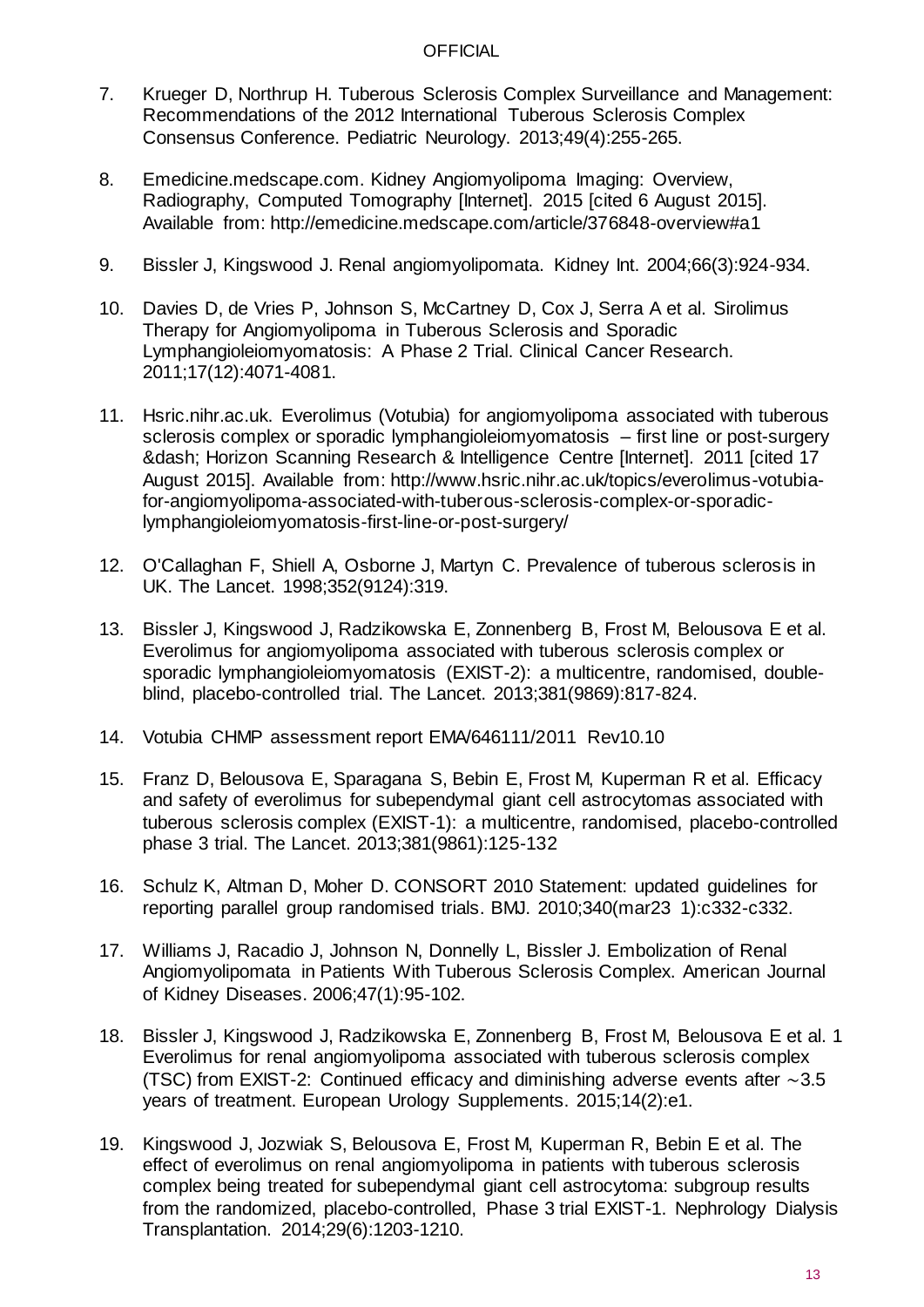- 7. Krueger D, Northrup H. Tuberous Sclerosis Complex Surveillance and Management: Recommendations of the 2012 International Tuberous Sclerosis Complex Consensus Conference. Pediatric Neurology. 2013;49(4):255-265.
- 8. Emedicine.medscape.com. Kidney Angiomyolipoma Imaging: Overview, Radiography, Computed Tomography [Internet]. 2015 [cited 6 August 2015]. Available from: http://emedicine.medscape.com/article/376848-overview#a1
- 9. Bissler J, Kingswood J. Renal angiomyolipomata. Kidney Int. 2004;66(3):924-934.
- 10. Davies D, de Vries P, Johnson S, McCartney D, Cox J, Serra A et al. Sirolimus Therapy for Angiomyolipoma in Tuberous Sclerosis and Sporadic Lymphangioleiomyomatosis: A Phase 2 Trial. Clinical Cancer Research. 2011;17(12):4071-4081.
- 11. Hsric.nihr.ac.uk. Everolimus (Votubia) for angiomyolipoma associated with tuberous sclerosis complex or sporadic lymphangioleiomyomatosis – first line or post-surgery ‐ Horizon Scanning Research & Intelligence Centre [Internet]. 2011 [cited 17 August 2015]. Available from: http://www.hsric.nihr.ac.uk/topics/everolimus-votubiafor-angiomyolipoma-associated-with-tuberous-sclerosis-complex-or-sporadiclymphangioleiomyomatosis-first-line-or-post-surgery/
- 12. O'Callaghan F, Shiell A, Osborne J, Martyn C. Prevalence of tuberous sclerosis in UK. The Lancet. 1998;352(9124):319.
- 13. Bissler J, Kingswood J, Radzikowska E, Zonnenberg B, Frost M, Belousova E et al. Everolimus for angiomyolipoma associated with tuberous sclerosis complex or sporadic lymphangioleiomyomatosis (EXIST-2): a multicentre, randomised, doubleblind, placebo-controlled trial. The Lancet. 2013;381(9869):817-824.
- 14. Votubia CHMP assessment report EMA/646111/2011 Rev10.10
- 15. Franz D, Belousova E, Sparagana S, Bebin E, Frost M, Kuperman R et al. Efficacy and safety of everolimus for subependymal giant cell astrocytomas associated with tuberous sclerosis complex (EXIST-1): a multicentre, randomised, placebo-controlled phase 3 trial. The Lancet. 2013;381(9861):125-132
- 16. Schulz K, Altman D, Moher D. CONSORT 2010 Statement: updated guidelines for reporting parallel group randomised trials. BMJ. 2010;340(mar23 1):c332-c332.
- 17. Williams J, Racadio J, Johnson N, Donnelly L, Bissler J. Embolization of Renal Angiomyolipomata in Patients With Tuberous Sclerosis Complex. American Journal of Kidney Diseases. 2006;47(1):95-102.
- 18. Bissler J, Kingswood J, Radzikowska E, Zonnenberg B, Frost M, Belousova E et al. 1 Everolimus for renal angiomyolipoma associated with tuberous sclerosis complex (TSC) from EXIST-2: Continued efficacy and diminishing adverse events after ∼3.5 years of treatment. European Urology Supplements. 2015;14(2):e1.
- 19. Kingswood J, Jozwiak S, Belousova E, Frost M, Kuperman R, Bebin E et al. The effect of everolimus on renal angiomyolipoma in patients with tuberous sclerosis complex being treated for subependymal giant cell astrocytoma: subgroup results from the randomized, placebo-controlled, Phase 3 trial EXIST-1. Nephrology Dialysis Transplantation. 2014;29(6):1203-1210.